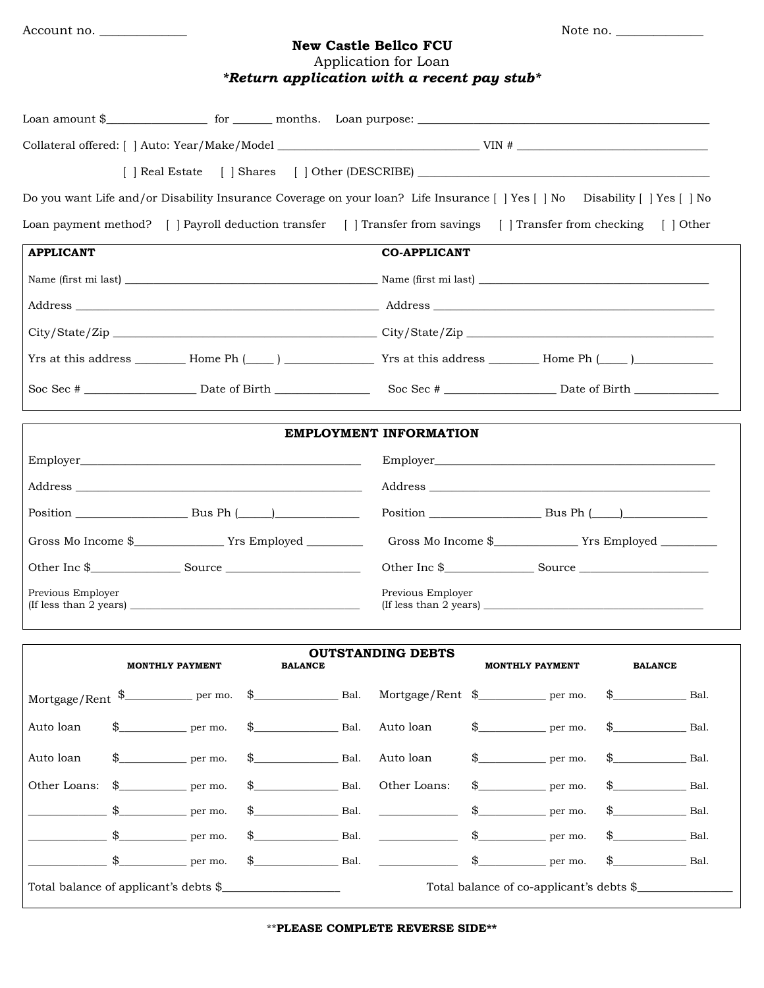## **New Castle Bellco FCU** Application for Loan

| *Return application with a recent pay stub* |  |  |
|---------------------------------------------|--|--|

|                                                                             |               |                              |                                       |      | [   Real Estate     Shares     Other (DESCRIBE) ________________________________                                              |                  |                        |                |                                          |
|-----------------------------------------------------------------------------|---------------|------------------------------|---------------------------------------|------|-------------------------------------------------------------------------------------------------------------------------------|------------------|------------------------|----------------|------------------------------------------|
|                                                                             |               |                              |                                       |      | Do you want Life and/or Disability Insurance Coverage on your loan? Life Insurance [   Yes [   No   Disability [   Yes [   No |                  |                        |                |                                          |
|                                                                             |               |                              |                                       |      | Loan payment method? [   Payroll deduction transfer [   Transfer from savings [   Transfer from checking [   Other            |                  |                        |                |                                          |
| <b>APPLICANT</b>                                                            |               |                              |                                       |      | <b>CO-APPLICANT</b>                                                                                                           |                  |                        |                |                                          |
|                                                                             |               |                              |                                       |      |                                                                                                                               |                  |                        |                |                                          |
|                                                                             |               |                              |                                       |      |                                                                                                                               |                  |                        |                |                                          |
|                                                                             |               |                              |                                       |      |                                                                                                                               |                  |                        |                |                                          |
|                                                                             |               |                              |                                       |      |                                                                                                                               |                  |                        |                |                                          |
|                                                                             |               |                              |                                       |      |                                                                                                                               |                  |                        |                |                                          |
|                                                                             |               |                              |                                       |      | <b>EMPLOYMENT INFORMATION</b>                                                                                                 |                  |                        |                |                                          |
|                                                                             |               |                              |                                       |      |                                                                                                                               |                  |                        |                |                                          |
|                                                                             |               |                              |                                       |      |                                                                                                                               |                  |                        |                |                                          |
|                                                                             |               |                              |                                       |      |                                                                                                                               |                  |                        |                |                                          |
|                                                                             |               |                              |                                       |      |                                                                                                                               |                  |                        |                |                                          |
|                                                                             |               |                              |                                       |      |                                                                                                                               |                  |                        |                |                                          |
| Previous Employer                                                           |               |                              |                                       |      | Previous Employer<br>$($ If less than 2 years $)$                                                                             |                  |                        |                |                                          |
|                                                                             |               | <b>MONTHLY PAYMENT</b>       | <b>BALANCE</b>                        |      | <b>OUTSTANDING DEBTS</b>                                                                                                      |                  | <b>MONTHLY PAYMENT</b> | <b>BALANCE</b> |                                          |
| $\mbox{Mortgage/Rent} \quad \mbox{$\$}\xspace \qquad \qquad \mbox{per~mo.}$ |               |                              | $\$\$ Bal.                            |      | Mortgage/Rent \$____________ per mo.                                                                                          |                  |                        | $\mathbb{S}$   | Bal.                                     |
| Auto loan                                                                   | \$            | per mo.                      | \$<br>Bal.                            |      | Auto loan                                                                                                                     | $\mathfrak{s}_-$ | $per$ mo.              | $\frac{1}{2}$  | Bal.                                     |
| Auto loan                                                                   |               | $per$ mo.                    | Bal.                                  |      | Auto loan                                                                                                                     | \$               | per mo.                |                | Bal.                                     |
| Other Loans:                                                                | $\frac{1}{2}$ | per mo.                      |                                       | Bal. | Other Loans:                                                                                                                  | $\frac{1}{2}$    | per mo.                |                | Bal.                                     |
|                                                                             |               | $\rule{1em}{0.15mm}$ per mo. | Bal.                                  |      |                                                                                                                               |                  | $\frac{1}{2}$ per mo.  | $\mathbb{S}$   | Bal.                                     |
|                                                                             | $\mathbb{S}$  | $\rule{1em}{0.15mm}$ per mo. | Bal.<br>\$                            |      |                                                                                                                               |                  | $\$\$ per mo.          | \$             | <b>Example 3</b> Bal.                    |
|                                                                             | \$            | per mo.                      | $\mathbb{S}$                          | Bal. |                                                                                                                               | $\mathbb{S}$     | per mo.                | $\frac{1}{2}$  | Bal.                                     |
|                                                                             |               |                              | Total balance of applicant's debts \$ |      |                                                                                                                               |                  |                        |                | Total balance of co-applicant's debts \$ |

\*\***PLEASE COMPLETE REVERSE SIDE\*\***